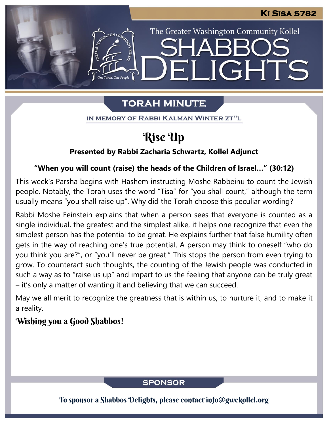The Greater Washington Community Kollel

LIGHTS

## **TORAH MINUTE**

 $\left| - \right|$ 

IN MEMORY OF RABBI KALMAN WINTER ZT"L

# Rise Up

### **Presented by Rabbi Zacharia Schwartz, Kollel Adjunct**

### **"When you will count (raise) the heads of the Children of Israel…" (30:12)**

This week's Parsha begins with Hashem instructing Moshe Rabbeinu to count the Jewish people. Notably, the Torah uses the word "Tisa" for "you shall count," although the term usually means "you shall raise up". Why did the Torah choose this peculiar wording?

Rabbi Moshe Feinstein explains that when a person sees that everyone is counted as a single individual, the greatest and the simplest alike, it helps one recognize that even the simplest person has the potential to be great. He explains further that false humility often gets in the way of reaching one's true potential. A person may think to oneself "who do you think you are?", or "you'll never be great." This stops the person from even trying to grow. To counteract such thoughts, the counting of the Jewish people was conducted in such a way as to "raise us up" and impart to us the feeling that anyone can be truly great – it's only a matter of wanting it and believing that we can succeed.

May we all merit to recognize the greatness that is within us, to nurture it, and to make it a reality.

## Wishing you a Good Shabbos!

## **SPONSOR**

To sponsor a Shabbos Delights, please contact info@gwckollel.org